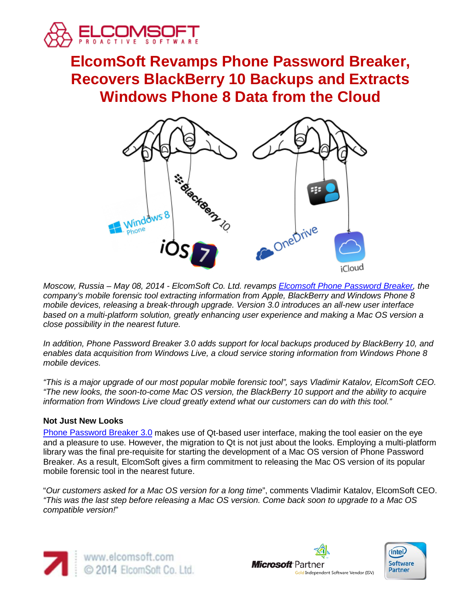

# **ElcomSoft Revamps Phone Password Breaker, Recovers BlackBerry 10 Backups and Extracts Windows Phone 8 Data from the Cloud**



*Moscow, Russia – May 08, 2014 - ElcomSoft Co. Ltd. revamps [Elcomsoft Phone Password Breaker,](http://www.elcomsoft.com/eppb.html) the company's mobile forensic tool extracting information from Apple, BlackBerry and Windows Phone 8 mobile devices, releasing a break-through upgrade. Version 3.0 introduces an all-new user interface*  based on a multi-platform solution, greatly enhancing user experience and making a Mac OS version a *close possibility in the nearest future.*

*In addition, Phone Password Breaker 3.0 adds support for local backups produced by BlackBerry 10, and enables data acquisition from Windows Live, a cloud service storing information from Windows Phone 8 mobile devices.*

*"This is a major upgrade of our most popular mobile forensic tool", says Vladimir Katalov, ElcomSoft CEO. "The new looks, the soon-to-come Mac OS version, the BlackBerry 10 support and the ability to acquire information from Windows Live cloud greatly extend what our customers can do with this tool."*

# **Not Just New Looks**

[Phone Password Breaker 3.0](http://www.elcomsoft.com/eppb.html) makes use of Qt-based user interface, making the tool easier on the eye and a pleasure to use. However, the migration to Qt is not just about the looks. Employing a multi-platform library was the final pre-requisite for starting the development of a Mac OS version of Phone Password Breaker. As a result, ElcomSoft gives a firm commitment to releasing the Mac OS version of its popular mobile forensic tool in the nearest future.

"*Our customers asked for a Mac OS version for a long time*", comments Vladimir Katalov, ElcomSoft CEO. *"This was the last step before releasing a Mac OS version. Come back soon to upgrade to a Mac OS compatible version!*"